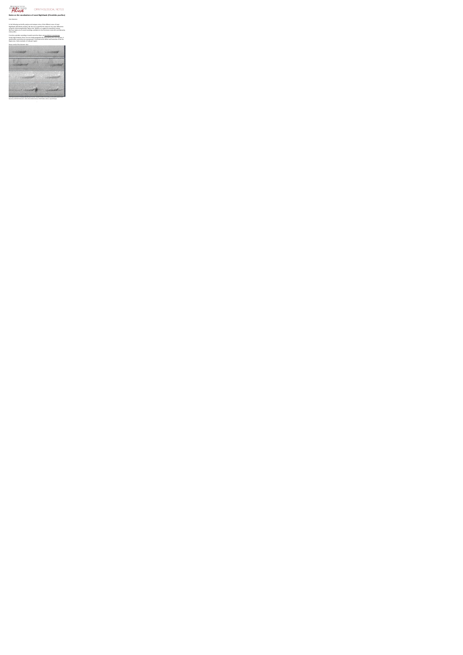Weak on the two advantages of Leaser Nighthands (Cheroleties pushBus)<br>Interactions were interested in the state of the state of the state of the state of the state<br>and the state of the state of the state of the state of th

| Races south of the Amazon river<br>11.5334444444 | 5126555666 |
|--------------------------------------------------|------------|
| 1054511<br>65555                                 |            |
| <b><i><u>OSSESSER</u></i></b>                    | 59999999   |
| <b>COLOR</b>                                     |            |

From top to bottom: XC336366 (Minas Gerais, Brazil. Jerome Fischer), XC221069 (Pernambuco, Brazil, Peter Boesman), XC67337 (Tocantins, Brazil, Renata Biancalana), XC2674 (Beni, Bolivia, Sjoerd Mayer).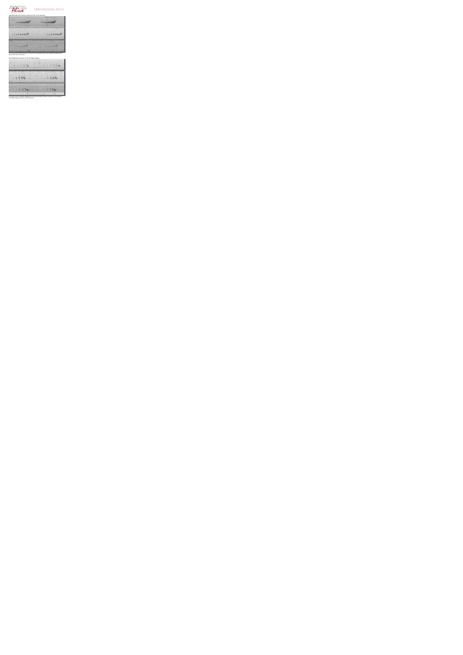| HANDBOOK OF THE<br>live.<br>BEED<br>argorrosionalis (the Guianan savannas north of the Ansapel | ORNITHOLOGICAL NOTES                                                                                |
|------------------------------------------------------------------------------------------------|-----------------------------------------------------------------------------------------------------|
|                                                                                                |                                                                                                     |
| <b>A. S. W. W. W. W. T. L.</b>                                                                 | <b>AL NE WE WE T</b>                                                                                |
|                                                                                                |                                                                                                     |
| <b>School, University, Tell Parkett</b>                                                        |                                                                                                     |
| ecowaldor ithe savannas in the Rio Negro region)                                               |                                                                                                     |
|                                                                                                |                                                                                                     |
|                                                                                                |                                                                                                     |
| X223065 (syndrom, American, Peter Boxman).                                                     | Promise is believe \$5,0000. M-00000 (Sen Certa derive Spera Systems, Wreckets, Paul Schwerk).<br>× |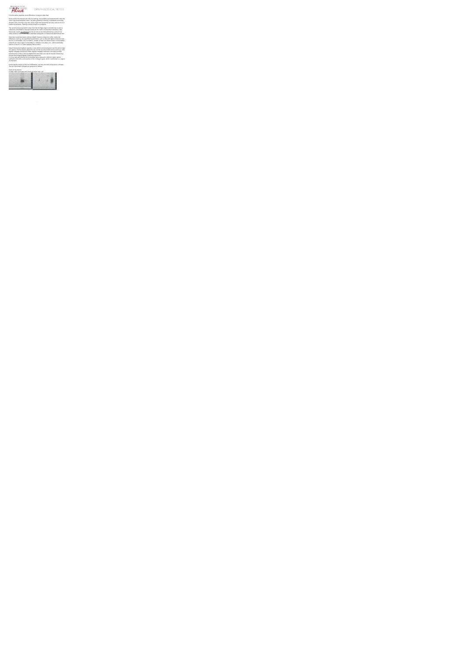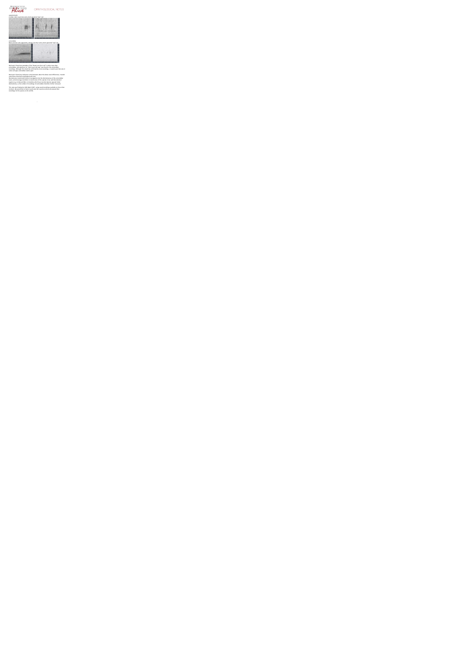